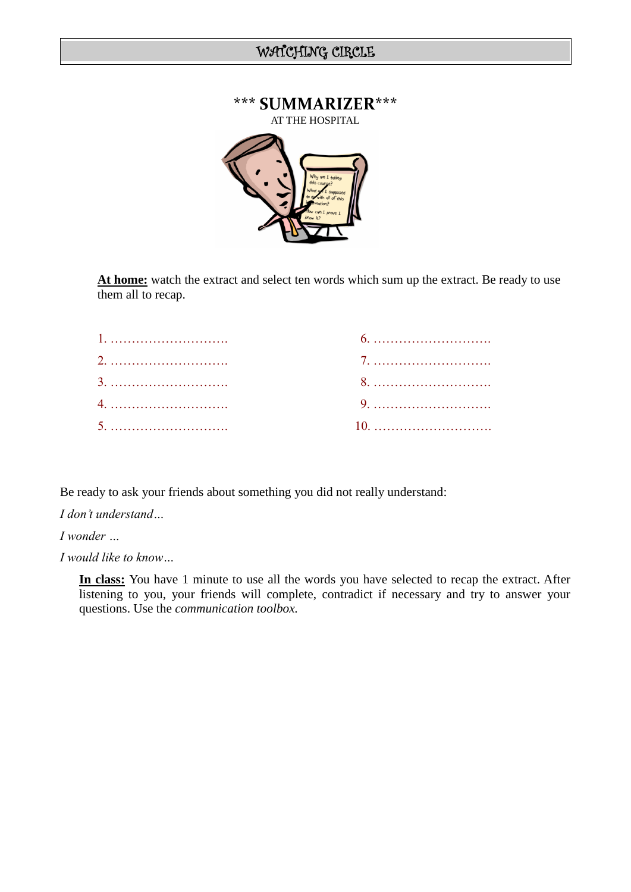

**At home:** watch the extract and select ten words which sum up the extract. Be ready to use them all to recap.

Be ready to ask your friends about something you did not really understand:

*I don't understand…*

*I wonder …*

*I would like to know…*

**In class:** You have 1 minute to use all the words you have selected to recap the extract. After listening to you, your friends will complete, contradict if necessary and try to answer your questions. Use the *communication toolbox.*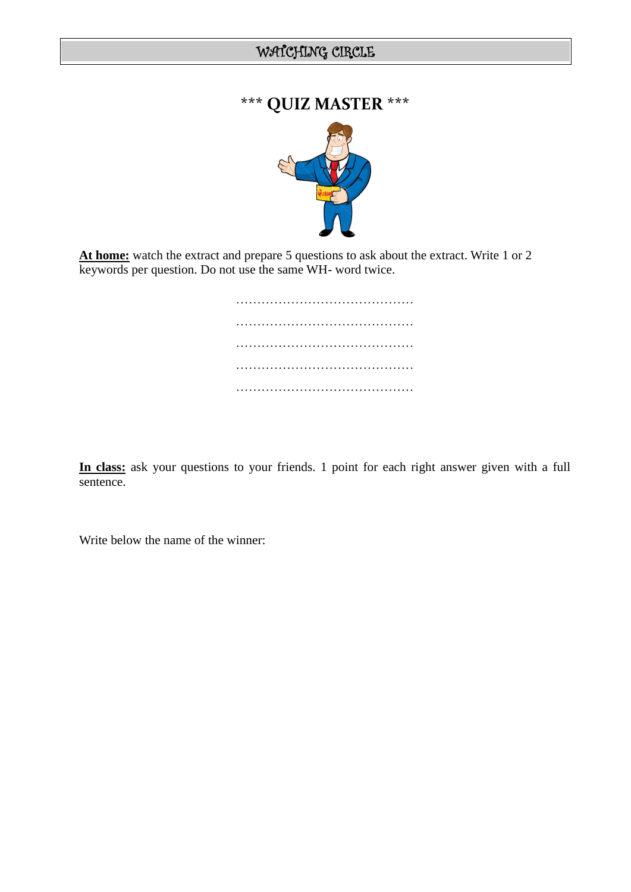# **\*\*\* QUIZ MASTER \*\*\***



**At home:** watch the extract and prepare 5 questions to ask about the extract. Write 1 or 2 keywords per question. Do not use the same WH- word twice.

> …………………………………………… …………………………………… ………………………………………… …………………………………… ……………………………………

**In class:** ask your questions to your friends. 1 point for each right answer given with a full sentence.

Write below the name of the winner: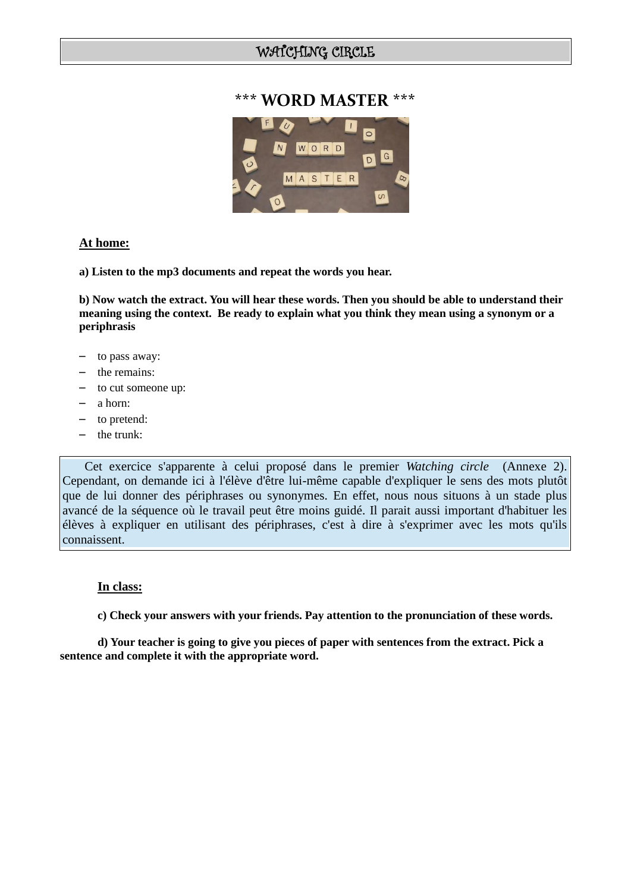### **\*\*\* WORD MASTER \*\*\***



#### **At home:**

**a) Listen to the mp3 documents and repeat the words you hear.**

**b) Now watch the extract. You will hear these words. Then you should be able to understand their meaning using the context. Be ready to explain what you think they mean using a synonym or a periphrasis**

- to pass away:
- the remains:
- to cut someone up:
- a horn:
- to pretend:
- the trunk:

 Cet exercice s'apparente à celui proposé dans le premier *Watching circle* (Annexe 2). Cependant, on demande ici à l'élève d'être lui-même capable d'expliquer le sens des mots plutôt que de lui donner des périphrases ou synonymes. En effet, nous nous situons à un stade plus avancé de la séquence où le travail peut être moins guidé. Il parait aussi important d'habituer les élèves à expliquer en utilisant des périphrases, c'est à dire à s'exprimer avec les mots qu'ils connaissent.

#### **In class:**

**c) Check your answers with your friends. Pay attention to the pronunciation of these words.**

**d) Your teacher is going to give you pieces of paper with sentences from the extract. Pick a sentence and complete it with the appropriate word.**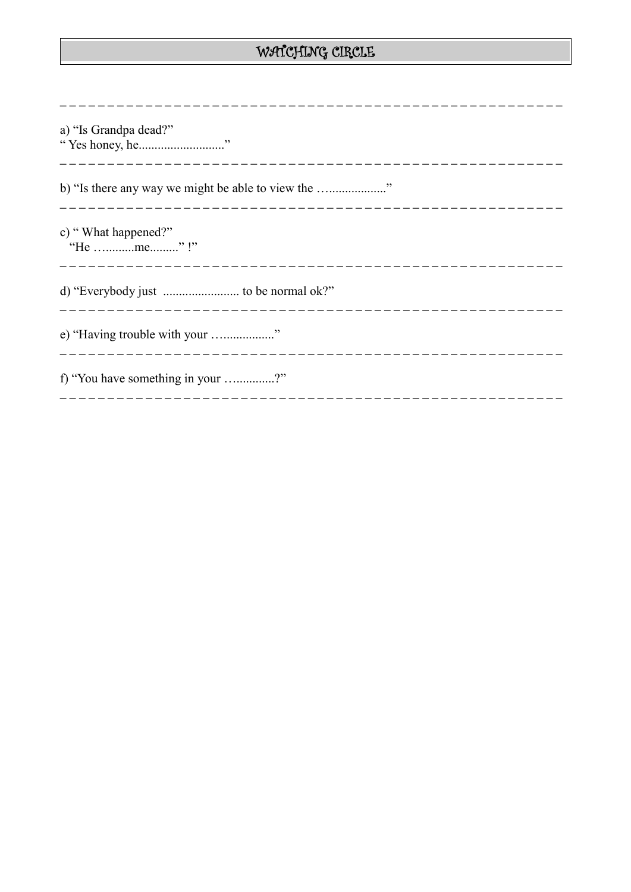| a) "Is Grandpa dead?"<br>"Yes honey, he"          |
|---------------------------------------------------|
| b) "Is there any way we might be able to view the |
| c) "What happened?"<br>"He me"!"                  |
|                                                   |
| e) "Having trouble with your "                    |
| f) "You have something in your ?"                 |